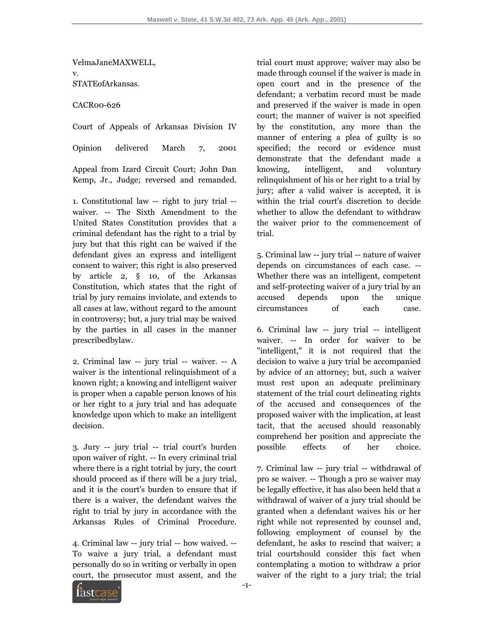VelmaJaneMAXWELL, v. STATEofArkansas.

CACR00-626

Court of Appeals of Arkansas Division IV

Opinion delivered March 7, 2001

Appeal from Izard Circuit Court; John Dan Kemp, Jr., Judge; reversed and remanded.

1. Constitutional law -- right to jury trial - waiver. -- The Sixth Amendment to the United States Constitution provides that a criminal defendant has the right to a trial by jury but that this right can be waived if the defendant gives an express and intelligent consent to waiver; this right is also preserved by article 2, § 10, of the Arkansas Constitution, which states that the right of trial by jury remains inviolate, and extends to all cases at law, without regard to the amount in controversy; but, a jury trial may be waived by the parties in all cases in the manner prescribedbylaw.

2. Criminal law -- jury trial -- waiver. -- A waiver is the intentional relinquishment of a known right; a knowing and intelligent waiver is proper when a capable person knows of his or her right to a jury trial and has adequate knowledge upon which to make an intelligent decision.

3. Jury -- jury trial -- trial court's burden upon waiver of right. -- In every criminal trial where there is a right totrial by jury, the court should proceed as if there will be a jury trial, and it is the court's burden to ensure that if there is a waiver, the defendant waives the right to trial by jury in accordance with the Arkansas Rules of Criminal Procedure.

4. Criminal law -- jury trial -- how waived. -- To waive a jury trial, a defendant must personally do so in writing or verbally in open court, the prosecutor must assent, and the trial court must approve; waiver may also be made through counsel if the waiver is made in open court and in the presence of the defendant; a verbatim record must be made and preserved if the waiver is made in open court; the manner of waiver is not specified by the constitution, any more than the manner of entering a plea of guilty is so specified; the record or evidence must demonstrate that the defendant made a knowing, intelligent, and voluntary relinquishment of his or her right to a trial by jury; after a valid waiver is accepted, it is within the trial court's discretion to decide whether to allow the defendant to withdraw the waiver prior to the commencement of trial.

5. Criminal law -- jury trial -- nature of waiver depends on circumstances of each case. -- Whether there was an intelligent, competent and self-protecting waiver of a jury trial by an accused depends upon the unique circumstances of each case.

6. Criminal law -- jury trial -- intelligent waiver. -- In order for waiver to be "intelligent," it is not required that the decision to waive a jury trial be accompanied by advice of an attorney; but, such a waiver must rest upon an adequate preliminary statement of the trial court delineating rights of the accused and consequences of the proposed waiver with the implication, at least tacit, that the accused should reasonably comprehend her position and appreciate the possible effects of her choice.

7. Criminal law -- jury trial -- withdrawal of pro se waiver. -- Though a pro se waiver may be legally effective, it has also been held that a withdrawal of waiver of a jury trial should be granted when a defendant waives his or her right while not represented by counsel and, following employment of counsel by the defendant, he asks to rescind that waiver; a trial courtshould consider this fact when contemplating a motion to withdraw a prior waiver of the right to a jury trial; the trial

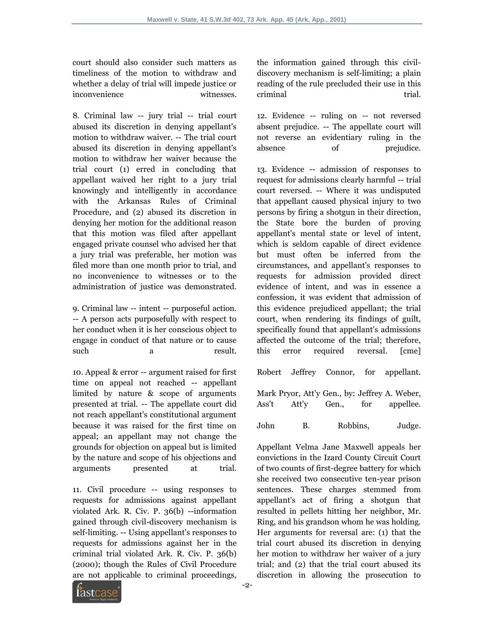court should also consider such matters as timeliness of the motion to withdraw and whether a delay of trial will impede justice or inconvenience witnesses.

8. Criminal law -- jury trial -- trial court abused its discretion in denying appellant's motion to withdraw waiver. -- The trial court abused its discretion in denying appellant's motion to withdraw her waiver because the trial court (1) erred in concluding that appellant waived her right to a jury trial knowingly and intelligently in accordance with the Arkansas Rules of Criminal Procedure, and (2) abused its discretion in denying her motion for the additional reason that this motion was filed after appellant engaged private counsel who advised her that a jury trial was preferable, her motion was filed more than one month prior to trial, and no inconvenience to witnesses or to the administration of justice was demonstrated.

9. Criminal law -- intent -- purposeful action. -- A person acts purposefully with respect to her conduct when it is her conscious object to engage in conduct of that nature or to cause such a result.

10. Appeal & error -- argument raised for first time on appeal not reached -- appellant limited by nature & scope of arguments presented at trial. -- The appellate court did not reach appellant's constitutional argument because it was raised for the first time on appeal; an appellant may not change the grounds for objection on appeal but is limited by the nature and scope of his objections and arguments presented at trial.

11. Civil procedure -- using responses to requests for admissions against appellant violated Ark. R. Civ. P. 36(b) --information gained through civil-discovery mechanism is self-limiting. -- Using appellant's responses to requests for admissions against her in the criminal trial violated Ark. R. Civ. P. 36(b) (2000); though the Rules of Civil Procedure are not applicable to criminal proceedings,

the information gained through this civildiscovery mechanism is self-limiting; a plain reading of the rule precluded their use in this criminal trial.

12. Evidence -- ruling on -- not reversed absent prejudice. -- The appellate court will not reverse an evidentiary ruling in the absence of prejudice.

13. Evidence -- admission of responses to request for admissions clearly harmful -- trial court reversed. -- Where it was undisputed that appellant caused physical injury to two persons by firing a shotgun in their direction, the State bore the burden of proving appellant's mental state or level of intent, which is seldom capable of direct evidence but must often be inferred from the circumstances, and appellant's responses to requests for admission provided direct evidence of intent, and was in essence a confession, it was evident that admission of this evidence prejudiced appellant; the trial court, when rendering its findings of guilt, specifically found that appellant's admissions affected the outcome of the trial; therefore, this error required reversal. [cme]

Robert Jeffrey Connor, for appellant. Mark Pryor, Att'y Gen., by: Jeffrey A. Weber, Ass't Att'y Gen., for appellee. John B. Robbins, Judge.

Appellant Velma Jane Maxwell appeals her convictions in the Izard County Circuit Court of two counts of first-degree battery for which she received two consecutive ten-year prison sentences. These charges stemmed from appellant's act of firing a shotgun that resulted in pellets hitting her neighbor, Mr. Ring, and his grandson whom he was holding. Her arguments for reversal are: (1) that the trial court abused its discretion in denying her motion to withdraw her waiver of a jury trial; and (2) that the trial court abused its discretion in allowing the prosecution to

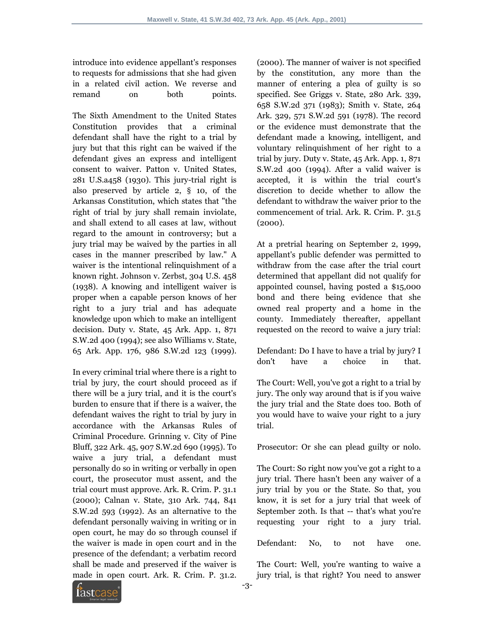introduce into evidence appellant's responses to requests for admissions that she had given in a related civil action. We reverse and remand on both points.

The Sixth Amendment to the United States Constitution provides that a criminal defendant shall have the right to a trial by jury but that this right can be waived if the defendant gives an express and intelligent consent to waiver. Patton v. United States, 281 U.S.a458 (1930). This jury-trial right is also preserved by article 2, § 10, of the Arkansas Constitution, which states that "the right of trial by jury shall remain inviolate, and shall extend to all cases at law, without regard to the amount in controversy; but a jury trial may be waived by the parties in all cases in the manner prescribed by law." A waiver is the intentional relinquishment of a known right. Johnson v. Zerbst, 304 U.S. 458 (1938). A knowing and intelligent waiver is proper when a capable person knows of her right to a jury trial and has adequate knowledge upon which to make an intelligent decision. Duty v. State, 45 Ark. App. 1, 871 S.W.2d 400 (1994); see also Williams v. State, 65 Ark. App. 176, 986 S.W.2d 123 (1999).

In every criminal trial where there is a right to trial by jury, the court should proceed as if there will be a jury trial, and it is the court's burden to ensure that if there is a waiver, the defendant waives the right to trial by jury in accordance with the Arkansas Rules of Criminal Procedure. Grinning v. City of Pine Bluff, 322 Ark. 45, 907 S.W.2d 690 (1995). To waive a jury trial, a defendant must personally do so in writing or verbally in open court, the prosecutor must assent, and the trial court must approve. Ark. R. Crim. P. 31.1 (2000); Calnan v. State, 310 Ark. 744, 841 S.W.2d 593 (1992). As an alternative to the defendant personally waiving in writing or in open court, he may do so through counsel if the waiver is made in open court and in the presence of the defendant; a verbatim record shall be made and preserved if the waiver is made in open court. Ark. R. Crim. P. 31.2.

(2000). The manner of waiver is not specified by the constitution, any more than the manner of entering a plea of guilty is so specified. See Griggs v. State, 280 Ark. 339, 658 S.W.2d 371 (1983); Smith v. State, 264 Ark. 329, 571 S.W.2d 591 (1978). The record or the evidence must demonstrate that the defendant made a knowing, intelligent, and voluntary relinquishment of her right to a trial by jury. Duty v. State, 45 Ark. App. 1, 871 S.W.2d 400 (1994). After a valid waiver is accepted, it is within the trial court's discretion to decide whether to allow the defendant to withdraw the waiver prior to the commencement of trial. Ark. R. Crim. P. 31.5 (2000).

At a pretrial hearing on September 2, 1999, appellant's public defender was permitted to withdraw from the case after the trial court determined that appellant did not qualify for appointed counsel, having posted a \$15,000 bond and there being evidence that she owned real property and a home in the county. Immediately thereafter, appellant requested on the record to waive a jury trial:

Defendant: Do I have to have a trial by jury? I don't have a choice in that.

The Court: Well, you've got a right to a trial by jury. The only way around that is if you waive the jury trial and the State does too. Both of you would have to waive your right to a jury trial.

Prosecutor: Or she can plead guilty or nolo.

The Court: So right now you've got a right to a jury trial. There hasn't been any waiver of a jury trial by you or the State. So that, you know, it is set for a jury trial that week of September 20th. Is that -- that's what you're requesting your right to a jury trial.

Defendant: No, to not have one.

The Court: Well, you're wanting to waive a jury trial, is that right? You need to answer

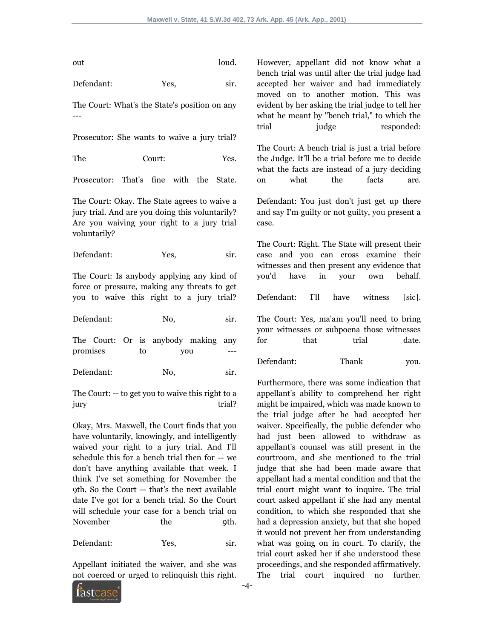out loud.

Defendant: Yes, sir.

The Court: What's the State's position on any ---

Prosecutor: She wants to waive a jury trial?

The Court: Yes.

Prosecutor: That's fine with the State.

The Court: Okay. The State agrees to waive a jury trial. And are you doing this voluntarily? Are you waiving your right to a jury trial voluntarily?

Defendant: Yes, sir.

The Court: Is anybody applying any kind of force or pressure, making any threats to get you to waive this right to a jury trial?

Defendant: No, sir.

The Court: Or is anybody making any promises to you

Defendant: No, sir.

The Court: -- to get you to waive this right to a jury trial?

Okay, Mrs. Maxwell, the Court finds that you have voluntarily, knowingly, and intelligently waived your right to a jury trial. And I'll schedule this for a bench trial then for -- we don't have anything available that week. I think I've set something for November the 9th. So the Court -- that's the next available date I've got for a bench trial. So the Court will schedule your case for a bench trial on November the 9th.

Defendant: Yes, sir.

Appellant initiated the waiver, and she was not coerced or urged to relinquish this right. However, appellant did not know what a bench trial was until after the trial judge had accepted her waiver and had immediately moved on to another motion. This was evident by her asking the trial judge to tell her what he meant by "bench trial," to which the trial *judge* responded:

The Court: A bench trial is just a trial before the Judge. It'll be a trial before me to decide what the facts are instead of a jury deciding on what the facts are.

Defendant: You just don't just get up there and say I'm guilty or not guilty, you present a case.

The Court: Right. The State will present their case and you can cross examine their witnesses and then present any evidence that you'd have in your own behalf.

Defendant: I'll have witness [sic].

The Court: Yes, ma'am you'll need to bring your witnesses or subpoena those witnesses for that trial date.

Defendant: Thank you.

Furthermore, there was some indication that appellant's ability to comprehend her right might be impaired, which was made known to the trial judge after he had accepted her waiver. Specifically, the public defender who had just been allowed to withdraw as appellant's counsel was still present in the courtroom, and she mentioned to the trial judge that she had been made aware that appellant had a mental condition and that the trial court might want to inquire. The trial court asked appellant if she had any mental condition, to which she responded that she had a depression anxiety, but that she hoped it would not prevent her from understanding what was going on in court. To clarify, the trial court asked her if she understood these proceedings, and she responded affirmatively. The trial court inquired no further.

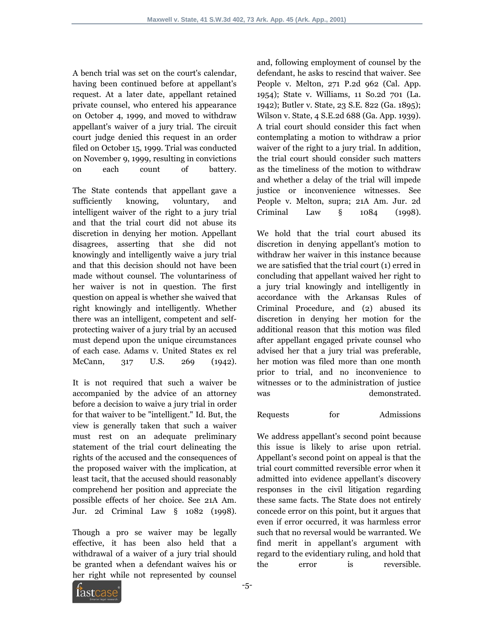A bench trial was set on the court's calendar, having been continued before at appellant's request. At a later date, appellant retained private counsel, who entered his appearance on October 4, 1999, and moved to withdraw appellant's waiver of a jury trial. The circuit court judge denied this request in an order filed on October 15, 1999. Trial was conducted on November 9, 1999, resulting in convictions on each count of battery.

The State contends that appellant gave a sufficiently knowing, voluntary, and intelligent waiver of the right to a jury trial and that the trial court did not abuse its discretion in denying her motion. Appellant disagrees, asserting that she did not knowingly and intelligently waive a jury trial and that this decision should not have been made without counsel. The voluntariness of her waiver is not in question. The first question on appeal is whether she waived that right knowingly and intelligently. Whether there was an intelligent, competent and selfprotecting waiver of a jury trial by an accused must depend upon the unique circumstances of each case. Adams v. United States ex rel McCann, 317 U.S. 269 (1942).

It is not required that such a waiver be accompanied by the advice of an attorney before a decision to waive a jury trial in order for that waiver to be "intelligent." Id. But, the view is generally taken that such a waiver must rest on an adequate preliminary statement of the trial court delineating the rights of the accused and the consequences of the proposed waiver with the implication, at least tacit, that the accused should reasonably comprehend her position and appreciate the possible effects of her choice. See 21A Am. Jur. 2d Criminal Law § 1082 (1998).

Though a pro se waiver may be legally effective, it has been also held that a withdrawal of a waiver of a jury trial should be granted when a defendant waives his or her right while not represented by counsel and, following employment of counsel by the defendant, he asks to rescind that waiver. See People v. Melton, 271 P.2d 962 (Cal. App. 1954); State v. Williams, 11 So.2d 701 (La. 1942); Butler v. State, 23 S.E. 822 (Ga. 1895); Wilson v. State, 4 S.E.2d 688 (Ga. App. 1939). A trial court should consider this fact when contemplating a motion to withdraw a prior waiver of the right to a jury trial. In addition, the trial court should consider such matters as the timeliness of the motion to withdraw and whether a delay of the trial will impede justice or inconvenience witnesses. See People v. Melton, supra; 21A Am. Jur. 2d Criminal Law § 1084 (1998).

We hold that the trial court abused its discretion in denying appellant's motion to withdraw her waiver in this instance because we are satisfied that the trial court (1) erred in concluding that appellant waived her right to a jury trial knowingly and intelligently in accordance with the Arkansas Rules of Criminal Procedure, and (2) abused its discretion in denying her motion for the additional reason that this motion was filed after appellant engaged private counsel who advised her that a jury trial was preferable, her motion was filed more than one month prior to trial, and no inconvenience to witnesses or to the administration of justice was demonstrated.

## Requests for Admissions

We address appellant's second point because this issue is likely to arise upon retrial. Appellant's second point on appeal is that the trial court committed reversible error when it admitted into evidence appellant's discovery responses in the civil litigation regarding these same facts. The State does not entirely concede error on this point, but it argues that even if error occurred, it was harmless error such that no reversal would be warranted. We find merit in appellant's argument with regard to the evidentiary ruling, and hold that the error is reversible.

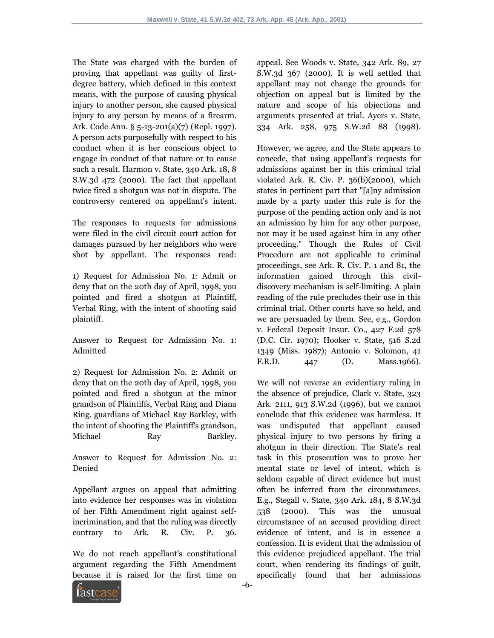The State was charged with the burden of proving that appellant was guilty of firstdegree battery, which defined in this context means, with the purpose of causing physical injury to another person, she caused physical injury to any person by means of a firearm. Ark. Code Ann. § 5-13-201(a)(7) (Repl. 1997). A person acts purposefully with respect to his conduct when it is her conscious object to engage in conduct of that nature or to cause such a result. Harmon v. State, 340 Ark. 18, 8 S.W.3d 472 (2000). The fact that appellant twice fired a shotgun was not in dispute. The controversy centered on appellant's intent.

The responses to requests for admissions were filed in the civil circuit court action for damages pursued by her neighbors who were shot by appellant. The responses read:

1) Request for Admission No. 1: Admit or deny that on the 20th day of April, 1998, you pointed and fired a shotgun at Plaintiff, Verbal Ring, with the intent of shooting said plaintiff.

Answer to Request for Admission No. 1: Admitted

2) Request for Admission No. 2: Admit or deny that on the 20th day of April, 1998, you pointed and fired a shotgun at the minor grandson of Plaintiffs, Verbal Ring and Diana Ring, guardians of Michael Ray Barkley, with the intent of shooting the Plaintiff's grandson, Michael Ray Barkley.

Answer to Request for Admission No. 2: Denied

Appellant argues on appeal that admitting into evidence her responses was in violation of her Fifth Amendment right against selfincrimination, and that the ruling was directly contrary to Ark. R. Civ. P. 36.

We do not reach appellant's constitutional argument regarding the Fifth Amendment because it is raised for the first time on

appeal. See Woods v. State, 342 Ark. 89, 27 S.W.3d 367 (2000). It is well settled that appellant may not change the grounds for objection on appeal but is limited by the nature and scope of his objections and arguments presented at trial. Ayers v. State, 334 Ark. 258, 975 S.W.2d 88 (1998).

However, we agree, and the State appears to concede, that using appellant's requests for admissions against her in this criminal trial violated Ark. R. Civ. P. 36(b)(2000), which states in pertinent part that "[a]ny admission made by a party under this rule is for the purpose of the pending action only and is not an admission by him for any other purpose, nor may it be used against him in any other proceeding." Though the Rules of Civil Procedure are not applicable to criminal proceedings, see Ark. R. Civ. P. 1 and 81, the information gained through this civildiscovery mechanism is self-limiting. A plain reading of the rule precludes their use in this criminal trial. Other courts have so held, and we are persuaded by them. See, e.g., Gordon v. Federal Deposit Insur. Co., 427 F.2d 578 (D.C. Cir. 1970); Hooker v. State, 516 S.2d 1349 (Miss. 1987); Antonio v. Solomon, 41 F.R.D. 447 (D. Mass.1966).

We will not reverse an evidentiary ruling in the absence of prejudice, Clark v. State, 323 Ark. 2111, 913 S.W.2d (1996), but we cannot conclude that this evidence was harmless. It was undisputed that appellant caused physical injury to two persons by firing a shotgun in their direction. The State's real task in this prosecution was to prove her mental state or level of intent, which is seldom capable of direct evidence but must often be inferred from the circumstances. E.g., Stegall v. State, 340 Ark. 184, 8 S.W.3d 538 (2000). This was the unusual circumstance of an accused providing direct evidence of intent, and is in essence a confession. It is evident that the admission of this evidence prejudiced appellant. The trial court, when rendering its findings of guilt, specifically found that her admissions